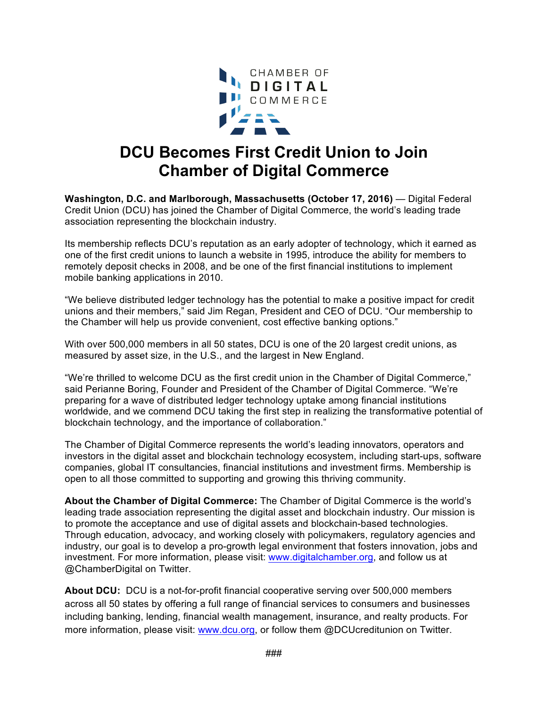

## **DCU Becomes First Credit Union to Join Chamber of Digital Commerce**

**Washington, D.C. and Marlborough, Massachusetts (October 17, 2016)** — Digital Federal Credit Union (DCU) has joined the Chamber of Digital Commerce, the world's leading trade association representing the blockchain industry.

Its membership reflects DCU's reputation as an early adopter of technology, which it earned as one of the first credit unions to launch a website in 1995, introduce the ability for members to remotely deposit checks in 2008, and be one of the first financial institutions to implement mobile banking applications in 2010.

"We believe distributed ledger technology has the potential to make a positive impact for credit unions and their members," said Jim Regan, President and CEO of DCU. "Our membership to the Chamber will help us provide convenient, cost effective banking options."

With over 500,000 members in all 50 states, DCU is one of the 20 largest credit unions, as measured by asset size, in the U.S., and the largest in New England.

"We're thrilled to welcome DCU as the first credit union in the Chamber of Digital Commerce," said Perianne Boring, Founder and President of the Chamber of Digital Commerce. "We're preparing for a wave of distributed ledger technology uptake among financial institutions worldwide, and we commend DCU taking the first step in realizing the transformative potential of blockchain technology, and the importance of collaboration."

The Chamber of Digital Commerce represents the world's leading innovators, operators and investors in the digital asset and blockchain technology ecosystem, including start-ups, software companies, global IT consultancies, financial institutions and investment firms. Membership is open to all those committed to supporting and growing this thriving community.

**About the Chamber of Digital Commerce:** The Chamber of Digital Commerce is the world's leading trade association representing the digital asset and blockchain industry. Our mission is to promote the acceptance and use of digital assets and blockchain-based technologies. Through education, advocacy, and working closely with policymakers, regulatory agencies and industry, our goal is to develop a pro-growth legal environment that fosters innovation, jobs and investment. For more information, please visit: www.digitalchamber.org, and follow us at @ChamberDigital on Twitter.

**About DCU:** DCU is a not-for-profit financial cooperative serving over 500,000 members across all 50 states by offering a full range of financial services to consumers and businesses including banking, lending, financial wealth management, insurance, and realty products. For more information, please visit: www.dcu.org, or follow them @DCUcreditunion on Twitter.